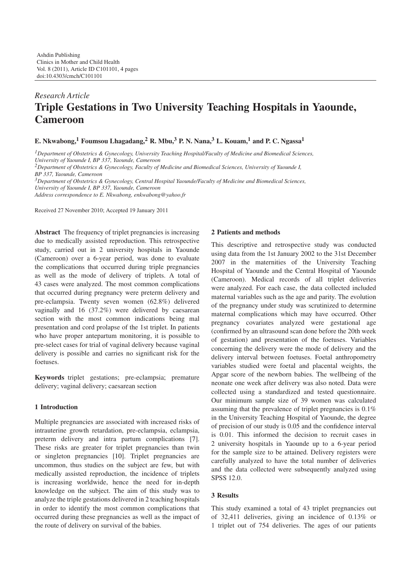# *Research Article* **Triple Gestations in Two University Teaching Hospitals in Yaounde, Cameroon**

**E. Nkwabong,**<sup>1</sup> **Foumsou Lhagadang,**<sup>2</sup> **R.** Mbu,<sup>3</sup> **P.** N. Nana,<sup>3</sup> **L.** Kouam,<sup>1</sup> and P. C. Ngassa<sup>1</sup>

*1Department of Obstetrics & Gynecology, University Teaching Hospital/Faculty of Medicine and Biomedical Sciences,*

*University of Yaounde I, BP 337, Yaounde, Cameroon*

*2Department of Obstetrics & Gynecology, Faculty of Medicine and Biomedical Sciences, University of Yaounde I,*

*BP 337, Yaounde, Cameroon*

*3Department of Obstetrics & Gynecology, Central Hospital Yaounde/Faculty of Medicine and Biomedical Sciences, University of Yaounde I, BP 337, Yaounde, Cameroon*

*Address correspondence to E. Nkwabong, enkwabong@yahoo.fr*

Received 27 November 2010; Accepted 19 January 2011

**Abstract** The frequency of triplet pregnancies is increasing due to medically assisted reproduction. This retrospective study, carried out in 2 university hospitals in Yaounde (Cameroon) over a 6-year period, was done to evaluate the complications that occurred during triple pregnancies as well as the mode of delivery of triplets. A total of 43 cases were analyzed. The most common complications that occurred during pregnancy were preterm delivery and pre-eclampsia. Twenty seven women (62.8%) delivered vaginally and 16 (37.2%) were delivered by caesarean section with the most common indications being mal presentation and cord prolapse of the 1st triplet. In patients who have proper antepartum monitoring, it is possible to pre-select cases for trial of vaginal delivery because vaginal delivery is possible and carries no significant risk for the foetuses.

**Keywords** triplet gestations; pre-eclampsia; premature delivery; vaginal delivery; caesarean section

## **1 Introduction**

Multiple pregnancies are associated with increased risks of intrauterine growth retardation, pre-eclampsia, eclampsia, preterm delivery and intra partum complications [\[7\]](#page-3-0). These risks are greater for triplet pregnancies than twin or singleton pregnancies [\[10\]](#page-3-1). Triplet pregnancies are uncommon, thus studies on the subject are few, but with medically assisted reproduction, the incidence of triplets is increasing worldwide, hence the need for in-depth knowledge on the subject. The aim of this study was to analyze the triple gestations delivered in 2 teaching hospitals in order to identify the most common complications that occurred during these pregnancies as well as the impact of the route of delivery on survival of the babies.

## **2 Patients and methods**

This descriptive and retrospective study was conducted using data from the 1st January 2002 to the 31st December 2007 in the maternities of the University Teaching Hospital of Yaounde and the Central Hospital of Yaounde (Cameroon). Medical records of all triplet deliveries were analyzed. For each case, the data collected included maternal variables such as the age and parity. The evolution of the pregnancy under study was scrutinized to determine maternal complications which may have occurred. Other pregnancy covariates analyzed were gestational age (confirmed by an ultrasound scan done before the 20th week of gestation) and presentation of the foetuses. Variables concerning the delivery were the mode of delivery and the delivery interval between foetuses. Foetal anthropometry variables studied were foetal and placental weights, the Apgar score of the newborn babies. The wellbeing of the neonate one week after delivery was also noted. Data were collected using a standardized and tested questionnaire. Our minimum sample size of 39 women was calculated assuming that the prevalence of triplet pregnancies is 0.1% in the University Teaching Hospital of Yaounde, the degree of precision of our study is 0.05 and the confidence interval is 0.01. This informed the decision to recruit cases in 2 university hospitals in Yaounde up to a 6-year period for the sample size to be attained. Delivery registers were carefully analyzed to have the total number of deliveries and the data collected were subsequently analyzed using SPSS 12.0.

## **3 Results**

This study examined a total of 43 triplet pregnancies out of 32,411 deliveries, giving an incidence of 0.13% or 1 triplet out of 754 deliveries. The ages of our patients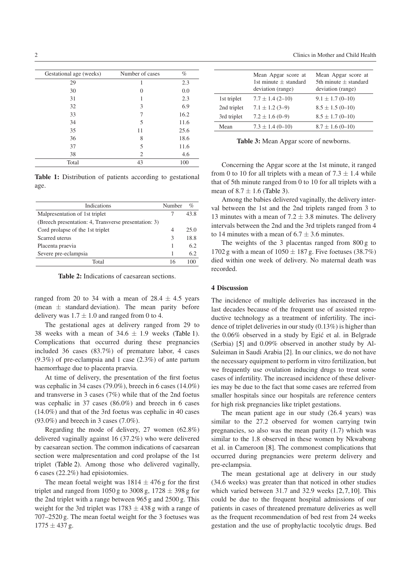| Gestational age (weeks) | Number of cases | $\%$ |
|-------------------------|-----------------|------|
| 29                      | 1               | 2.3  |
| 30                      | 0               | 0.0  |
| 31                      | 1               | 2.3  |
| 32                      | 3               | 6.9  |
| 33                      | 7               | 16.2 |
| 34                      | 5               | 11.6 |
| 35                      | 11              | 25.6 |
| 36                      | 8               | 18.6 |
| 37                      | 5               | 11.6 |
| 38                      | 2               | 4.6  |
| Total                   | 43              | 100  |

<span id="page-1-0"></span>**Table 1:** Distribution of patients according to gestational age.

| Indications                                          | Number | $\%$ |
|------------------------------------------------------|--------|------|
| Malpresentation of 1st triplet                       |        | 43.8 |
| (Breech presentation: 4, Transverse presentation: 3) |        |      |
| Cord prolapse of the 1st triplet                     |        | 25.0 |
| Scarred uterus                                       | 3      | 18.8 |
| Placenta praevia                                     |        | 6.2  |
| Severe pre-eclampsia                                 |        | 6.2  |
| Total                                                | 16     |      |

<span id="page-1-1"></span>**Table 2:** Indications of caesarean sections.

ranged from 20 to 34 with a mean of  $28.4 \pm 4.5$  years (mean  $\pm$  standard deviation). The mean parity before delivery was  $1.7 \pm 1.0$  and ranged from 0 to 4.

The gestational ages at delivery ranged from 29 to 38 weeks with a mean of  $34.6 \pm 1.9$  weeks [\(Table 1\)](#page-1-0). Complications that occurred during these pregnancies included 36 cases (83.7%) of premature labor, 4 cases (9.3%) of pre-eclampsia and 1 case (2.3%) of ante partum haemorrhage due to placenta praevia.

At time of delivery, the presentation of the first foetus was cephalic in 34 cases (79.0%), breech in 6 cases (14.0%) and transverse in 3 cases (7%) while that of the 2nd foetus was cephalic in 37 cases (86.0%) and breech in 6 cases (14.0%) and that of the 3rd foetus was cephalic in 40 cases (93.0%) and breech in 3 cases (7.0%).

Regarding the mode of delivery, 27 women (62.8%) delivered vaginally against 16 (37.2%) who were delivered by caesarean section. The common indications of caesarean section were malpresentation and cord prolapse of the 1st triplet [\(Table 2\)](#page-1-1). Among those who delivered vaginally, 6 cases (22.2%) had episiotomies.

The mean foetal weight was  $1814 \pm 476$  g for the first triplet and ranged from 1050 g to 3008 g, 1728 *±* 398 g for the 2nd triplet with a range between 965 g and 2500 g. This weight for the 3rd triplet was 1783 *±* 438 g with a range of 707–2520 g. The mean foetal weight for the 3 foetuses was 1775 *±* 437 g.

| Mean Apgar score at<br>1st minute $+$ standard<br>deviation (range) | Mean Apgar score at<br>5th minute $+$ standard<br>deviation (range) |
|---------------------------------------------------------------------|---------------------------------------------------------------------|
| $7.7 \pm 1.4$ (2-10)                                                | $9.1 \pm 1.7$ (0-10)                                                |
| $7.1 \pm 1.2$ (3-9)                                                 | $8.5 \pm 1.5$ (0-10)                                                |
| $7.2 \pm 1.6(0-9)$                                                  | $8.5 \pm 1.7$ (0-10)                                                |
| $7.3 \pm 1.4$ (0-10)                                                | $8.7 \pm 1.6$ (0-10)                                                |
|                                                                     |                                                                     |

<span id="page-1-2"></span>**Table 3:** Mean Apgar score of newborns.

Concerning the Apgar score at the 1st minute, it ranged from 0 to 10 for all triplets with a mean of  $7.3 \pm 1.4$  while that of 5th minute ranged from 0 to 10 for all triplets with a mean of  $8.7 \pm 1.6$  [\(Table 3\)](#page-1-2).

Among the babies delivered vaginally, the delivery interval between the 1st and the 2nd triplets ranged from 3 to 13 minutes with a mean of  $7.2 \pm 3.8$  minutes. The delivery intervals between the 2nd and the 3rd triplets ranged from 4 to 14 minutes with a mean of  $6.7 \pm 3.6$  minutes.

The weights of the 3 placentas ranged from 800 g to 1702 g with a mean of 1050 *±* 187 g. Five foetuses (38.7%) died within one week of delivery. No maternal death was recorded.

#### **4 Discussion**

The incidence of multiple deliveries has increased in the last decades because of the frequent use of assisted reproductive technology as a treatment of infertility. The incidence of triplet deliveries in our study (0.13%) is higher than the 0.06% observed in a study by Egić et al. in Belgrade (Serbia) [\[5\]](#page-2-1) and 0.09% observed in another study by Al-Suleiman in Saudi Arabia [\[2\]](#page-2-2). In our clinics, we do not have the necessary equipment to perform in vitro fertilization, but we frequently use ovulation inducing drugs to treat some cases of infertility. The increased incidence of these deliveries may be due to the fact that some cases are referred from smaller hospitals since our hospitals are reference centers for high risk pregnancies like triplet gestations.

The mean patient age in our study (26.4 years) was similar to the 27.2 observed for women carrying twin pregnancies, so also was the mean parity (1.7) which was similar to the 1.8 observed in these women by Nkwabong et al. in Cameroon [\[8\]](#page-3-2). The commonest complications that occurred during pregnancies were preterm delivery and pre-eclampsia.

The mean gestational age at delivery in our study (34.6 weeks) was greater than that noticed in other studies which varied between 31.7 and 32.9 weeks [\[2,](#page-2-2)[7,](#page-3-0)[10\]](#page-3-1). This could be due to the frequent hospital admissions of our patients in cases of threatened premature deliveries as well as the frequent recommendation of bed rest from 24 weeks gestation and the use of prophylactic tocolytic drugs. Bed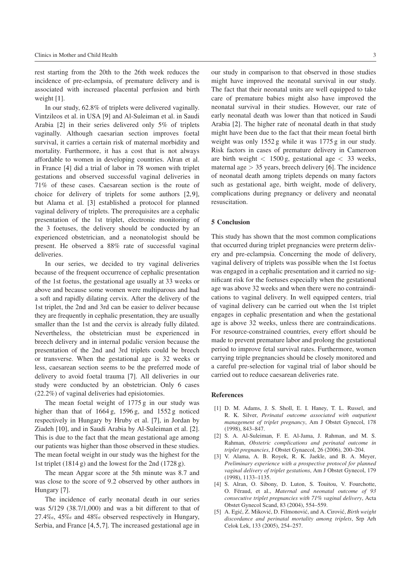rest starting from the 20th to the 26th week reduces the incidence of pre-eclampsia, of premature delivery and is associated with increased placental perfusion and birth weight [\[1\]](#page-2-3).

In our study, 62.8% of triplets were delivered vaginally. Vintzileos et al. in USA [\[9\]](#page-3-3) and Al-Suleiman et al. in Saudi Arabia [\[2\]](#page-2-2) in their series delivered only 5% of triplets vaginally. Although caesarian section improves foetal survival, it carries a certain risk of maternal morbidity and mortality. Furthermore, it has a cost that is not always affordable to women in developing countries. Alran et al. in France [\[4\]](#page-2-4) did a trial of labor in 78 women with triplet gestations and observed successful vaginal deliveries in 71% of these cases. Caesarean section is the route of choice for delivery of triplets for some authors [\[2,](#page-2-2)[9\]](#page-3-3), but Alama et al. [\[3\]](#page-2-5) established a protocol for planned vaginal delivery of triplets. The prerequisites are a cephalic presentation of the 1st triplet, electronic monitoring of the 3 foetuses, the delivery should be conducted by an experienced obstetrician, and a neonatologist should be present. He observed a 88% rate of successful vaginal deliveries.

In our series, we decided to try vaginal deliveries because of the frequent occurrence of cephalic presentation of the 1st foetus, the gestational age usually at 33 weeks or above and because some women were multiparous and had a soft and rapidly dilating cervix. After the delivery of the 1st triplet, the 2nd and 3rd can be easier to deliver because they are frequently in cephalic presentation, they are usually smaller than the 1st and the cervix is already fully dilated. Nevertheless, the obstetrician must be experienced in breech delivery and in internal podalic version because the presentation of the 2nd and 3rd triplets could be breech or transverse. When the gestational age is 32 weeks or less, caesarean section seems to be the preferred mode of delivery to avoid foetal trauma [\[7\]](#page-3-0). All deliveries in our study were conducted by an obstetrician. Only 6 cases (22.2%) of vaginal deliveries had episiotomies.

The mean foetal weight of 1775 g in our study was higher than that of 1664 g, 1596 g, and 1552 g noticed respectively in Hungary by Hruby et al. [\[7\]](#page-3-0), in Jordan by Ziadeh [\[10\]](#page-3-1), and in Saudi Arabia by Al-Suleiman et al. [\[2\]](#page-2-2). This is due to the fact that the mean gestational age among our patients was higher than those observed in these studies. The mean foetal weight in our study was the highest for the 1st triplet (1814 g) and the lowest for the 2nd (1728 g).

The mean Apgar score at the 5th minute was 8.7 and was close to the score of 9.2 observed by other authors in Hungary [\[7\]](#page-3-0).

The incidence of early neonatal death in our series was 5/129 (38.7/1,000) and was a bit different to that of 27.4‰, 45‰ and 48‰ observed respectively in Hungary, Serbia, and France [\[4,](#page-2-4)[5,](#page-2-1)[7\]](#page-3-0). The increased gestational age in

our study in comparison to that observed in those studies might have improved the neonatal survival in our study. The fact that their neonatal units are well equipped to take care of premature babies might also have improved the neonatal survival in their studies. However, our rate of early neonatal death was lower than that noticed in Saudi Arabia [\[2\]](#page-2-2). The higher rate of neonatal death in that study might have been due to the fact that their mean foetal birth weight was only 1552 g while it was 1775 g in our study. Risk factors in cases of premature delivery in Cameroon are birth weight *<* 1500 g, gestational age *<* 33 weeks, maternal age *>* 35 years, breech delivery [\[6\]](#page-3-4). The incidence of neonatal death among triplets depends on many factors such as gestational age, birth weight, mode of delivery, complications during pregnancy or delivery and neonatal resuscitation.

#### **5 Conclusion**

This study has shown that the most common complications that occurred during triplet pregnancies were preterm delivery and pre-eclampsia. Concerning the mode of delivery, vaginal delivery of triplets was possible when the 1st foetus was engaged in a cephalic presentation and it carried no significant risk for the foetuses especially when the gestational age was above 32 weeks and when there were no contraindications to vaginal delivery. In well equipped centers, trial of vaginal delivery can be carried out when the 1st triplet engages in cephalic presentation and when the gestational age is above 32 weeks, unless there are contraindications. For resource-constrained countries, every effort should be made to prevent premature labor and prolong the gestational period to improve fetal survival rates. Furthermore, women carrying triple pregnancies should be closely monitored and a careful pre-selection for vaginal trial of labor should be carried out to reduce caesarean deliveries rate.

#### <span id="page-2-0"></span>**References**

- <span id="page-2-3"></span>[1] D. M. Adams, J. S. Sholl, E. I. Haney, T. L. Russel, and R. K. Silver, *Perinatal outcome associated with outpatient management of triplet pregnancy*, Am J Obstet Gynecol, 178 (1998), 843–847.
- <span id="page-2-2"></span>[2] S. A. Al-Suleiman, F. E. Al-Jama, J. Rahman, and M. S. Rahman, *Obstetric complications and perinatal outcome in triplet pregnancies*, J Obstet Gynaecol, 26 (2006), 200–204.
- <span id="page-2-5"></span>[3] V. Alama, A. B. Royek, R. K. Jaekle, and B. A. Meyer, *Preliminary experience with a prospective protocol for planned vaginal delivery of triplet gestations*, Am J Obstet Gynecol, 179 (1998), 1133–1135.
- <span id="page-2-4"></span>[4] S. Alran, O. Sibony, D. Luton, S. Touitou, V. Fourchotte, O. Féraud, et al., Maternal and neonatal outcome of 93 *consecutive triplet pregnancies with 71% vaginal delivery*, Acta Obstet Gynecol Scand, 83 (2004), 554–559.
- <span id="page-2-1"></span>[5] A. Egić, Z. Miković, D. Filmonović, and A. Cirović, *Birth weight discordance and perinatal mortality among triplets*, Srp Arh Celok Lek, 133 (2005), 254–257.